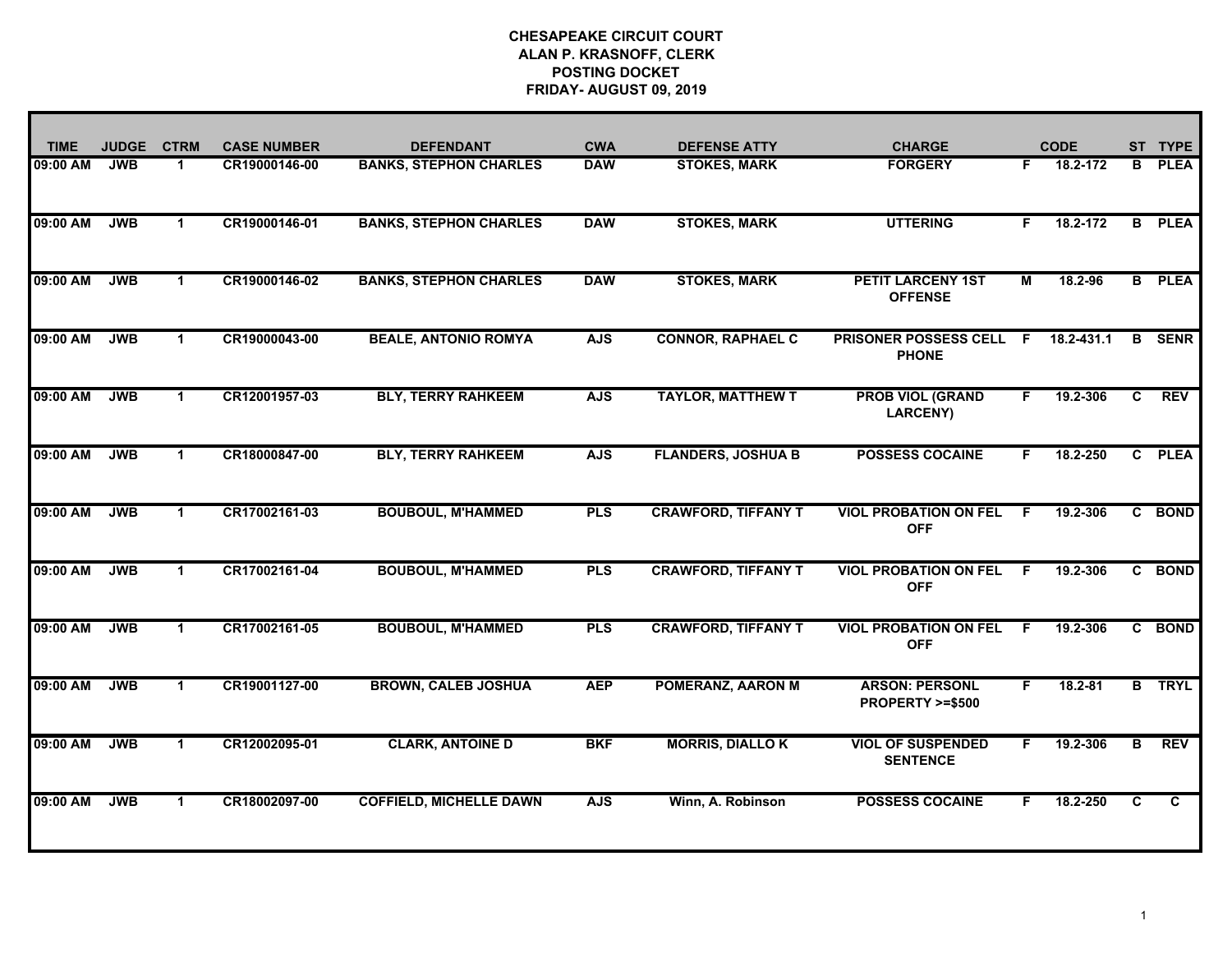| <b>TIME</b> | <b>JUDGE</b> | <b>CTRM</b>          | <b>CASE NUMBER</b> | <b>DEFENDANT</b>               | <b>CWA</b> | <b>DEFENSE ATTY</b>        | <b>CHARGE</b>                                |              | <b>CODE</b> | ST | <b>TYPE</b>    |
|-------------|--------------|----------------------|--------------------|--------------------------------|------------|----------------------------|----------------------------------------------|--------------|-------------|----|----------------|
| 09:00 AM    | <b>JWB</b>   | $\mathbf{1}$         | CR19000146-00      | <b>BANKS, STEPHON CHARLES</b>  | <b>DAW</b> | <b>STOKES, MARK</b>        | <b>FORGERY</b>                               | F.           | 18.2-172    | В  | <b>PLEA</b>    |
| 09:00 AM    | <b>JWB</b>   | $\mathbf 1$          | CR19000146-01      | <b>BANKS, STEPHON CHARLES</b>  | <b>DAW</b> | <b>STOKES, MARK</b>        | <b>UTTERING</b>                              | F.           | 18.2-172    | B  | <b>PLEA</b>    |
| 09:00 AM    | <b>JWB</b>   | $\mathbf{1}$         | CR19000146-02      | <b>BANKS, STEPHON CHARLES</b>  | <b>DAW</b> | <b>STOKES, MARK</b>        | <b>PETIT LARCENY 1ST</b><br><b>OFFENSE</b>   | М            | 18.2-96     |    | <b>B</b> PLEA  |
| 09:00 AM    | <b>JWB</b>   | $\mathbf{1}$         | CR19000043-00      | <b>BEALE, ANTONIO ROMYA</b>    | <b>AJS</b> | <b>CONNOR, RAPHAEL C</b>   | <b>PRISONER POSSESS CELL</b><br><b>PHONE</b> | $\mathsf{F}$ | 18.2-431.1  | B  | <b>SENR</b>    |
| 09:00 AM    | <b>JWB</b>   | $\mathbf{1}$         | CR12001957-03      | <b>BLY, TERRY RAHKEEM</b>      | <b>AJS</b> | <b>TAYLOR, MATTHEW T</b>   | <b>PROB VIOL (GRAND</b><br><b>LARCENY)</b>   | F.           | 19.2-306    | C. | <b>REV</b>     |
| 09:00 AM    | <b>JWB</b>   | 1.                   | CR18000847-00      | <b>BLY, TERRY RAHKEEM</b>      | <b>AJS</b> | <b>FLANDERS, JOSHUA B</b>  | <b>POSSESS COCAINE</b>                       | F.           | 18.2-250    |    | C PLEA         |
| 09:00 AM    | <b>JWB</b>   | $\mathbf 1$          | CR17002161-03      | <b>BOUBOUL, M'HAMMED</b>       | <b>PLS</b> | <b>CRAWFORD, TIFFANY T</b> | <b>VIOL PROBATION ON FEL</b><br><b>OFF</b>   | F.           | 19.2-306    | C. | <b>BOND</b>    |
| 09:00 AM    | <b>JWB</b>   | $\mathbf 1$          | CR17002161-04      | <b>BOUBOUL, M'HAMMED</b>       | <b>PLS</b> | <b>CRAWFORD, TIFFANY T</b> | <b>VIOL PROBATION ON FEL</b><br><b>OFF</b>   | -F           | 19.2-306    |    | C BOND         |
| 09:00 AM    | <b>JWB</b>   | $\blacktriangleleft$ | CR17002161-05      | <b>BOUBOUL, M'HAMMED</b>       | <b>PLS</b> | <b>CRAWFORD, TIFFANY T</b> | <b>VIOL PROBATION ON FEL</b><br><b>OFF</b>   | -F           | 19.2-306    | C. | <b>BOND</b>    |
| 09:00 AM    | <b>JWB</b>   | $\mathbf 1$          | CR19001127-00      | <b>BROWN, CALEB JOSHUA</b>     | <b>AEP</b> | POMERANZ, AARON M          | <b>ARSON: PERSONL</b><br>PROPERTY >=\$500    | F.           | 18.2-81     |    | <b>B</b> TRYL  |
| 09:00 AM    | <b>JWB</b>   | $\mathbf 1$          | CR12002095-01      | <b>CLARK, ANTOINE D</b>        | <b>BKF</b> | <b>MORRIS, DIALLOK</b>     | <b>VIOL OF SUSPENDED</b><br><b>SENTENCE</b>  | F.           | 19.2-306    | B  | <b>REV</b>     |
| 09:00 AM    | <b>JWB</b>   | $\mathbf 1$          | CR18002097-00      | <b>COFFIELD, MICHELLE DAWN</b> | <b>AJS</b> | Winn, A. Robinson          | <b>POSSESS COCAINE</b>                       | F            | 18.2-250    | C  | $\overline{c}$ |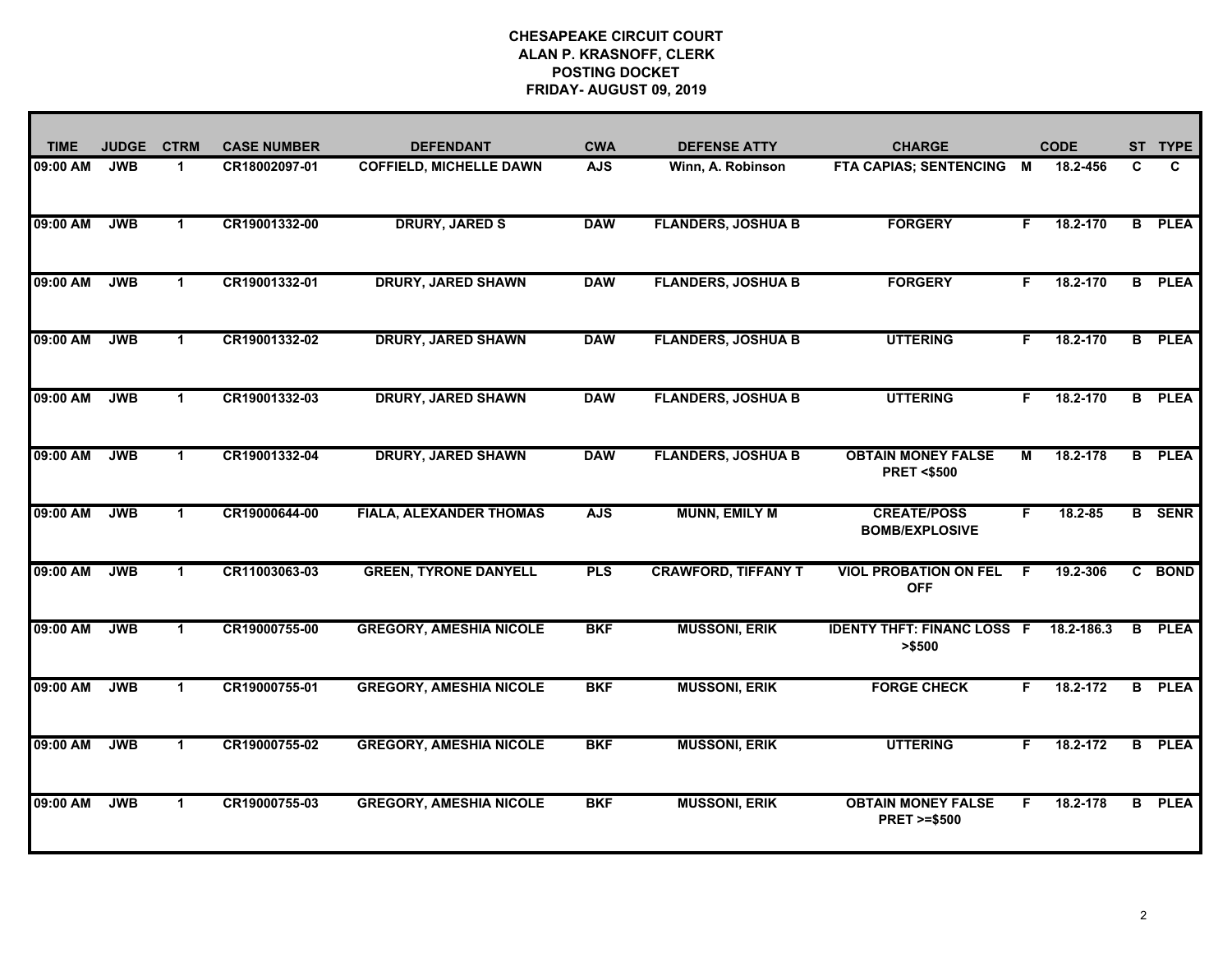| <b>TIME</b> | <b>JUDGE</b> | <b>CTRM</b>          | <b>CASE NUMBER</b> | <b>DEFENDANT</b>               | <b>CWA</b> | <b>DEFENSE ATTY</b>        | <b>CHARGE</b>                                       |    | <b>CODE</b> | <b>ST</b>      | <b>TYPE</b>   |
|-------------|--------------|----------------------|--------------------|--------------------------------|------------|----------------------------|-----------------------------------------------------|----|-------------|----------------|---------------|
| 09:00 AM    | <b>JWB</b>   | $\blacktriangleleft$ | CR18002097-01      | <b>COFFIELD, MICHELLE DAWN</b> | <b>AJS</b> | Winn, A. Robinson          | <b>FTA CAPIAS; SENTENCING</b>                       | M  | 18.2-456    | C              | C             |
| 09:00 AM    | <b>JWB</b>   | $\blacktriangleleft$ | CR19001332-00      | <b>DRURY, JARED S</b>          | <b>DAW</b> | <b>FLANDERS, JOSHUA B</b>  | <b>FORGERY</b>                                      | F. | 18.2-170    | $\overline{B}$ | <b>PLEA</b>   |
| 09:00 AM    | <b>JWB</b>   | $\mathbf{1}$         | CR19001332-01      | <b>DRURY, JARED SHAWN</b>      | <b>DAW</b> | <b>FLANDERS, JOSHUA B</b>  | <b>FORGERY</b>                                      | F. | 18.2-170    |                | <b>B</b> PLEA |
| 09:00 AM    | <b>JWB</b>   | $\mathbf{1}$         | CR19001332-02      | <b>DRURY, JARED SHAWN</b>      | <b>DAW</b> | <b>FLANDERS, JOSHUA B</b>  | <b>UTTERING</b>                                     | F. | 18.2-170    |                | <b>B</b> PLEA |
| 09:00 AM    | <b>JWB</b>   | $\blacktriangleleft$ | CR19001332-03      | <b>DRURY, JARED SHAWN</b>      | <b>DAW</b> | <b>FLANDERS, JOSHUA B</b>  | <b>UTTERING</b>                                     | F. | 18.2-170    |                | <b>B</b> PLEA |
| 09:00 AM    | <b>JWB</b>   | $\blacktriangleleft$ | CR19001332-04      | <b>DRURY, JARED SHAWN</b>      | <b>DAW</b> | <b>FLANDERS, JOSHUA B</b>  | <b>OBTAIN MONEY FALSE</b><br><b>PRET &lt;\$500</b>  | М  | 18.2-178    |                | <b>B</b> PLEA |
| 09:00 AM    | <b>JWB</b>   | $\mathbf 1$          | CR19000644-00      | <b>FIALA, ALEXANDER THOMAS</b> | <b>AJS</b> | <b>MUNN, EMILY M</b>       | <b>CREATE/POSS</b><br><b>BOMB/EXPLOSIVE</b>         | F. | 18.2-85     |                | <b>B</b> SENR |
| 09:00 AM    | <b>JWB</b>   | $\mathbf 1$          | CR11003063-03      | <b>GREEN, TYRONE DANYELL</b>   | <b>PLS</b> | <b>CRAWFORD, TIFFANY T</b> | <b>VIOL PROBATION ON FEL</b><br><b>OFF</b>          | E  | 19.2-306    |                | C BOND        |
| 09:00 AM    | <b>JWB</b>   | -1                   | CR19000755-00      | <b>GREGORY, AMESHIA NICOLE</b> | <b>BKF</b> | <b>MUSSONI, ERIK</b>       | <b>IDENTY THFT: FINANC LOSS F</b><br>>\$500         |    | 18.2-186.3  | B.             | <b>PLEA</b>   |
| 09:00 AM    | <b>JWB</b>   | $\blacktriangleleft$ | CR19000755-01      | <b>GREGORY, AMESHIA NICOLE</b> | <b>BKF</b> | <b>MUSSONI, ERIK</b>       | <b>FORGE CHECK</b>                                  | F. | 18.2-172    |                | <b>B</b> PLEA |
| 09:00 AM    | <b>JWB</b>   | $\blacktriangleleft$ | CR19000755-02      | <b>GREGORY, AMESHIA NICOLE</b> | <b>BKF</b> | <b>MUSSONI, ERIK</b>       | <b>UTTERING</b>                                     | F. | 18.2-172    |                | <b>B</b> PLEA |
| 09:00 AM    | <b>JWB</b>   | $\mathbf 1$          | CR19000755-03      | <b>GREGORY, AMESHIA NICOLE</b> | <b>BKF</b> | <b>MUSSONI, ERIK</b>       | <b>OBTAIN MONEY FALSE</b><br><b>PRET &gt;=\$500</b> | F. | 18.2-178    |                | <b>B</b> PLEA |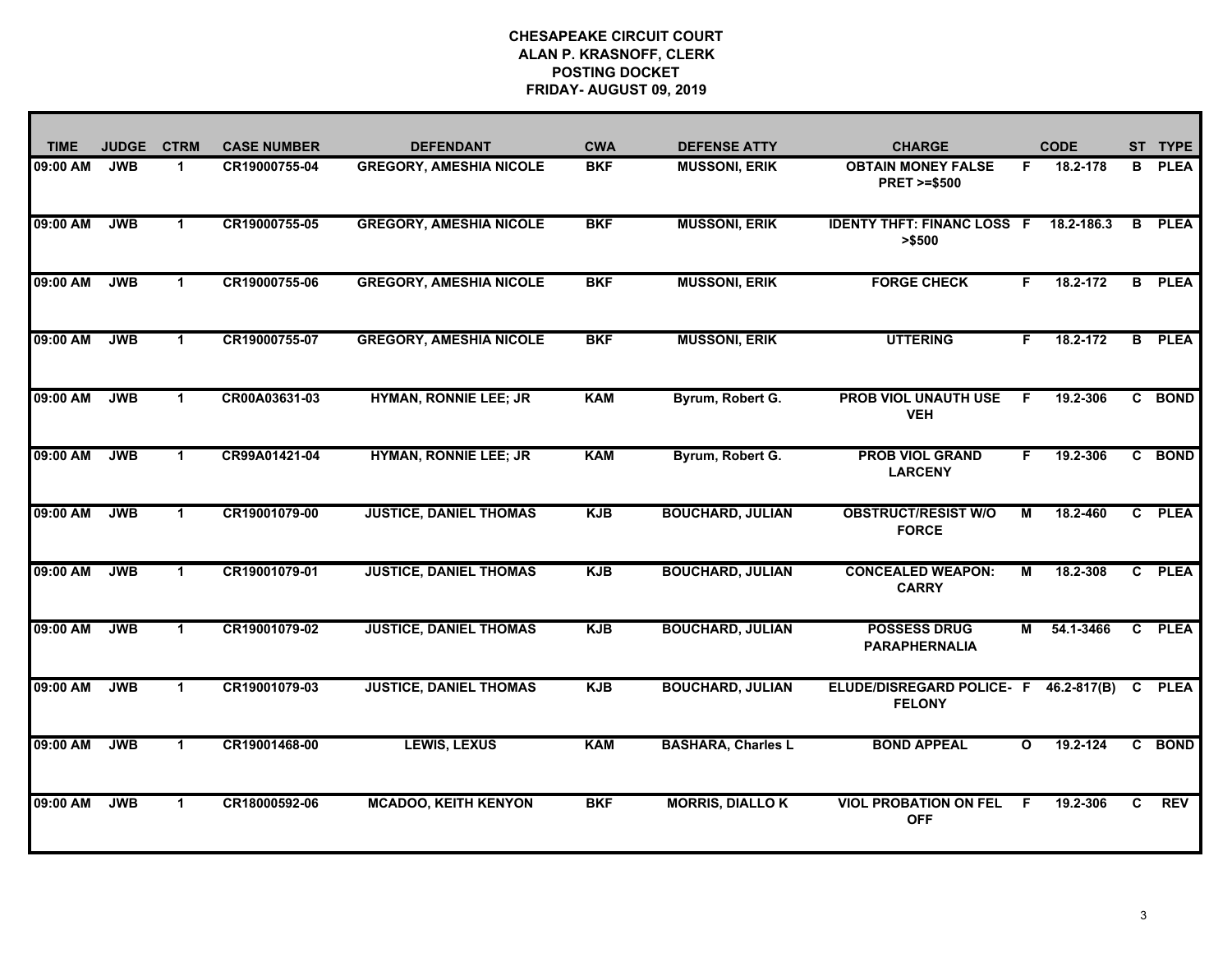| <b>TIME</b> | <b>JUDGE</b> | <b>CTRM</b>          | <b>CASE NUMBER</b> | <b>DEFENDANT</b>               | <b>CWA</b> | <b>DEFENSE ATTY</b>       | <b>CHARGE</b>                                       | <b>CODE</b>  |                 | ST | <b>TYPE</b> |
|-------------|--------------|----------------------|--------------------|--------------------------------|------------|---------------------------|-----------------------------------------------------|--------------|-----------------|----|-------------|
| 09:00 AM    | <b>JWB</b>   | $\blacktriangleleft$ | CR19000755-04      | <b>GREGORY, AMESHIA NICOLE</b> | <b>BKF</b> | <b>MUSSONI, ERIK</b>      | <b>OBTAIN MONEY FALSE</b><br><b>PRET &gt;=\$500</b> | F.           | 18.2-178        | B  | <b>PLEA</b> |
| 09:00 AM    | <b>JWB</b>   | $\mathbf{1}$         | CR19000755-05      | <b>GREGORY, AMESHIA NICOLE</b> | <b>BKF</b> | <b>MUSSONI, ERIK</b>      | <b>IDENTY THFT: FINANC LOSS F</b><br>> \$500        |              | 18.2-186.3      | B. | <b>PLEA</b> |
| 09:00 AM    | <b>JWB</b>   | $\blacktriangleleft$ | CR19000755-06      | <b>GREGORY, AMESHIA NICOLE</b> | <b>BKF</b> | <b>MUSSONI, ERIK</b>      | <b>FORGE CHECK</b>                                  | F.           | 18.2-172        | B  | <b>PLEA</b> |
| 09:00 AM    | <b>JWB</b>   | $\blacktriangleleft$ | CR19000755-07      | <b>GREGORY, AMESHIA NICOLE</b> | <b>BKF</b> | <b>MUSSONI, ERIK</b>      | <b>UTTERING</b>                                     | F            | 18.2-172        | B. | <b>PLEA</b> |
| 09:00 AM    | <b>JWB</b>   | $\blacktriangleleft$ | CR00A03631-03      | <b>HYMAN, RONNIE LEE; JR</b>   | <b>KAM</b> | Byrum, Robert G.          | <b>PROB VIOL UNAUTH USE</b><br><b>VEH</b>           | E            | 19.2-306        |    | C BOND      |
| 09:00 AM    | <b>JWB</b>   | $\blacktriangleleft$ | CR99A01421-04      | <b>HYMAN, RONNIE LEE; JR</b>   | <b>KAM</b> | Byrum, Robert G.          | <b>PROB VIOL GRAND</b><br><b>LARCENY</b>            | F            | 19.2-306        |    | C BOND      |
| 09:00 AM    | <b>JWB</b>   | -1                   | CR19001079-00      | <b>JUSTICE, DANIEL THOMAS</b>  | <b>KJB</b> | <b>BOUCHARD, JULIAN</b>   | <b>OBSTRUCT/RESIST W/O</b><br><b>FORCE</b>          | М            | 18.2-460        |    | C PLEA      |
| 09:00 AM    | <b>JWB</b>   | 1                    | CR19001079-01      | <b>JUSTICE, DANIEL THOMAS</b>  | <b>KJB</b> | <b>BOUCHARD, JULIAN</b>   | <b>CONCEALED WEAPON:</b><br><b>CARRY</b>            | м            | 18.2-308        |    | C PLEA      |
| 09:00 AM    | <b>JWB</b>   | 1                    | CR19001079-02      | <b>JUSTICE, DANIEL THOMAS</b>  | <b>KJB</b> | <b>BOUCHARD, JULIAN</b>   | <b>POSSESS DRUG</b><br><b>PARAPHERNALIA</b>         | м            | 54.1-3466       |    | C PLEA      |
| 09:00 AM    | <b>JWB</b>   | 1                    | CR19001079-03      | <b>JUSTICE, DANIEL THOMAS</b>  | <b>KJB</b> | <b>BOUCHARD, JULIAN</b>   | ELUDE/DISREGARD POLICE- F<br><b>FELONY</b>          |              | $46.2 - 817(B)$ | C. | <b>PLEA</b> |
| 09:00 AM    | <b>JWB</b>   | $\mathbf 1$          | CR19001468-00      | <b>LEWIS, LEXUS</b>            | <b>KAM</b> | <b>BASHARA, Charles L</b> | <b>BOND APPEAL</b>                                  | $\mathbf{o}$ | 19.2-124        | C. | <b>BOND</b> |
| 09:00 AM    | <b>JWB</b>   | 1                    | CR18000592-06      | <b>MCADOO, KEITH KENYON</b>    | <b>BKF</b> | <b>MORRIS, DIALLO K</b>   | <b>VIOL PROBATION ON FEL</b><br><b>OFF</b>          | F            | 19.2-306        | C  | <b>REV</b>  |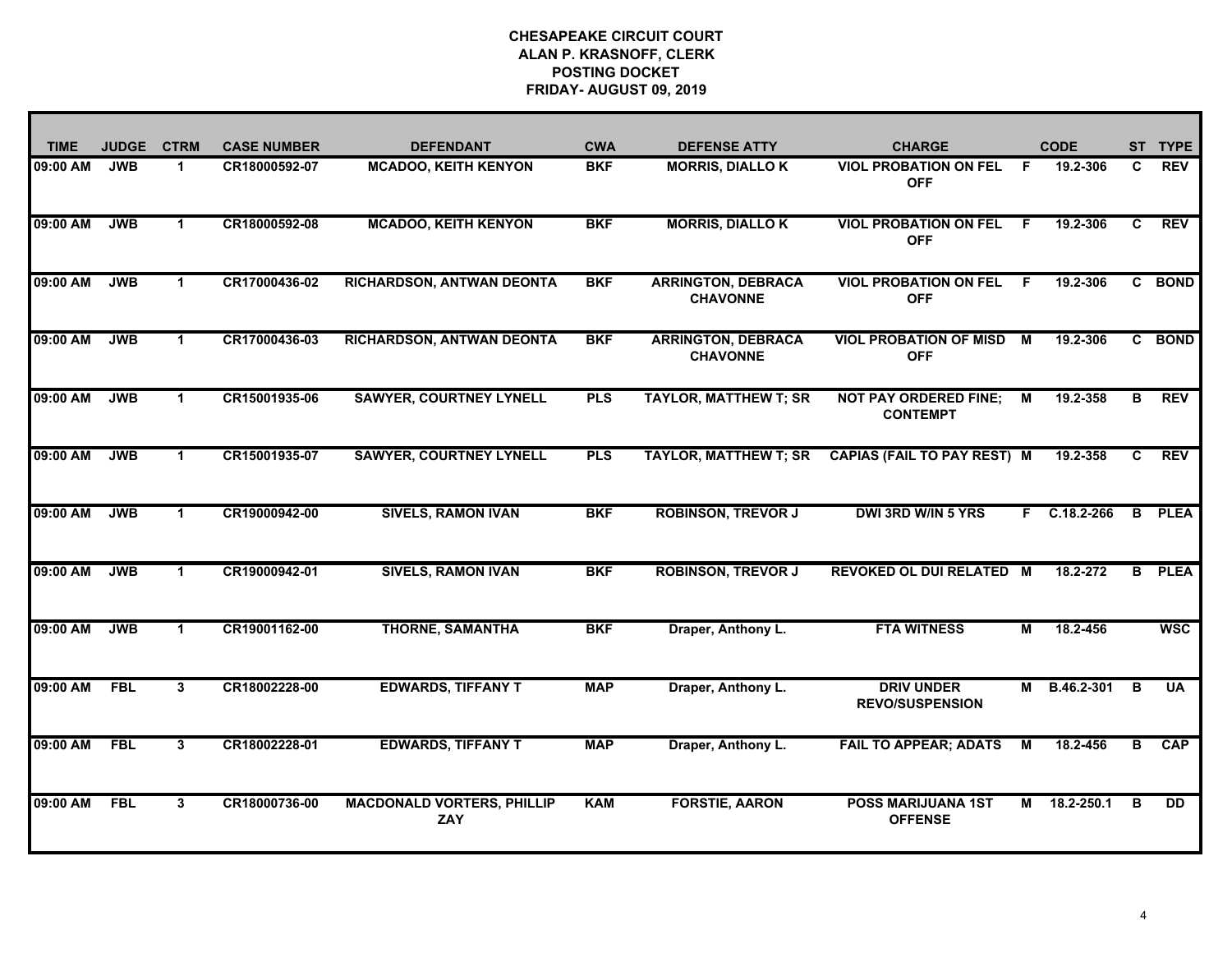| <b>TIME</b> | <b>JUDGE</b> | <b>CTRM</b>          | <b>CASE NUMBER</b> | <b>DEFENDANT</b>                                | <b>CWA</b> | <b>DEFENSE ATTY</b>                          | <b>CHARGE</b>                                   |    | <b>CODE</b>    | <b>ST</b> | <b>TYPE</b>     |
|-------------|--------------|----------------------|--------------------|-------------------------------------------------|------------|----------------------------------------------|-------------------------------------------------|----|----------------|-----------|-----------------|
| 09:00 AM    | <b>JWB</b>   | $\blacktriangleleft$ | CR18000592-07      | <b>MCADOO, KEITH KENYON</b>                     | <b>BKF</b> | <b>MORRIS, DIALLO K</b>                      | <b>VIOL PROBATION ON FEL</b><br><b>OFF</b>      | F. | 19.2-306       | C         | <b>REV</b>      |
| 09:00 AM    | <b>JWB</b>   | $\mathbf{1}$         | CR18000592-08      | <b>MCADOO, KEITH KENYON</b>                     | <b>BKF</b> | <b>MORRIS, DIALLOK</b>                       | <b>VIOL PROBATION ON FEL</b><br><b>OFF</b>      | -F | 19.2-306       | C.        | <b>REV</b>      |
| 09:00 AM    | <b>JWB</b>   | $\blacktriangleleft$ | CR17000436-02      | RICHARDSON, ANTWAN DEONTA                       | <b>BKF</b> | <b>ARRINGTON, DEBRACA</b><br><b>CHAVONNE</b> | <b>VIOL PROBATION ON FEL</b><br><b>OFF</b>      | E  | 19.2-306       |           | C BOND          |
| 09:00 AM    | <b>JWB</b>   | $\blacktriangleleft$ | CR17000436-03      | <b>RICHARDSON, ANTWAN DEONTA</b>                | <b>BKF</b> | <b>ARRINGTON, DEBRACA</b><br><b>CHAVONNE</b> | <b>VIOL PROBATION OF MISD</b><br><b>OFF</b>     | M  | 19.2-306       |           | C BOND          |
| 09:00 AM    | <b>JWB</b>   | $\blacktriangleleft$ | CR15001935-06      | <b>SAWYER, COURTNEY LYNELL</b>                  | <b>PLS</b> | <b>TAYLOR, MATTHEW T; SR</b>                 | <b>NOT PAY ORDERED FINE;</b><br><b>CONTEMPT</b> | М  | 19.2-358       | B         | <b>REV</b>      |
| 09:00 AM    | <b>JWB</b>   | $\blacktriangleleft$ | CR15001935-07      | <b>SAWYER, COURTNEY LYNELL</b>                  | <b>PLS</b> | <b>TAYLOR, MATTHEW T; SR</b>                 | <b>CAPIAS (FAIL TO PAY REST) M</b>              |    | 19.2-358       | C.        | <b>REV</b>      |
| 09:00 AM    | <b>JWB</b>   | 1                    | CR19000942-00      | <b>SIVELS, RAMON IVAN</b>                       | <b>BKF</b> | <b>ROBINSON, TREVOR J</b>                    | <b>DWI 3RD W/IN 5 YRS</b>                       |    | $F$ C.18.2-266 |           | <b>B</b> PLEA   |
| 09:00 AM    | <b>JWB</b>   | $\mathbf 1$          | CR19000942-01      | <b>SIVELS, RAMON IVAN</b>                       | <b>BKF</b> | <b>ROBINSON, TREVOR J</b>                    | <b>REVOKED OL DUI RELATED M</b>                 |    | 18.2-272       | B         | <b>PLEA</b>     |
| 09:00 AM    | <b>JWB</b>   | -1                   | CR19001162-00      | <b>THORNE, SAMANTHA</b>                         | <b>BKF</b> | Draper, Anthony L.                           | <b>FTA WITNESS</b>                              | М  | 18.2-456       |           | <b>WSC</b>      |
| 09:00 AM    | <b>FBL</b>   | 3                    | CR18002228-00      | <b>EDWARDS, TIFFANY T</b>                       | <b>MAP</b> | Draper, Anthony L.                           | <b>DRIV UNDER</b><br><b>REVO/SUSPENSION</b>     | М  | B.46.2-301     | В         | <b>UA</b>       |
| 09:00 AM    | <b>FBL</b>   | 3                    | CR18002228-01      | <b>EDWARDS, TIFFANY T</b>                       | <b>MAP</b> | Draper, Anthony L.                           | <b>FAIL TO APPEAR; ADATS</b>                    | M  | 18.2-456       | в         | <b>CAP</b>      |
| 09:00 AM    | <b>FBL</b>   | 3                    | CR18000736-00      | <b>MACDONALD VORTERS, PHILLIP</b><br><b>ZAY</b> | <b>KAM</b> | <b>FORSTIE, AARON</b>                        | <b>POSS MARIJUANA 1ST</b><br><b>OFFENSE</b>     | м  | 18.2-250.1     | в         | $\overline{DD}$ |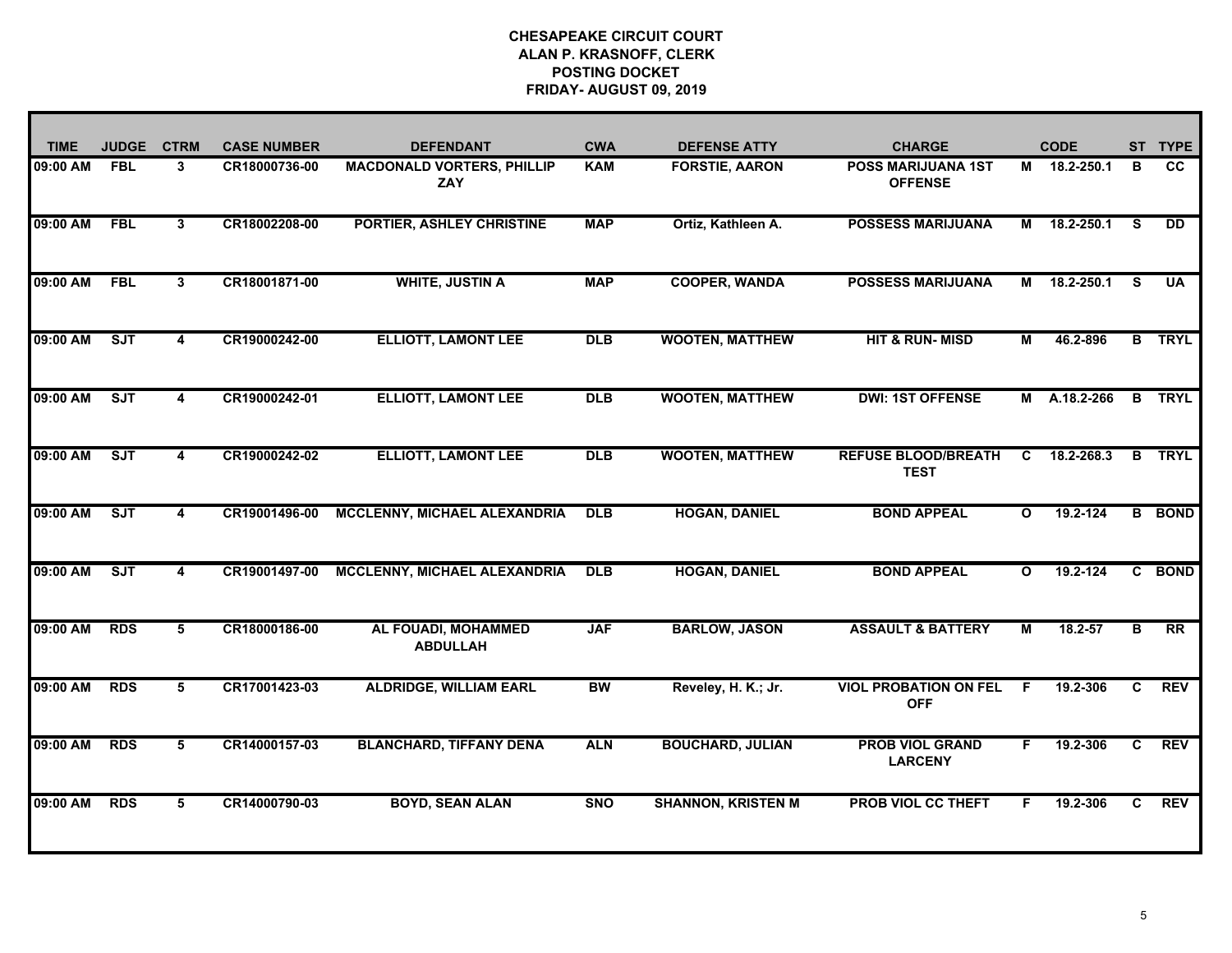| <b>TIME</b> | <b>JUDGE</b> | <b>CTRM</b>             | <b>CASE NUMBER</b> | <b>DEFENDANT</b>                         | <b>CWA</b> | <b>DEFENSE ATTY</b>       | <b>CHARGE</b>                               |              | <b>CODE</b>  |                | ST TYPE         |
|-------------|--------------|-------------------------|--------------------|------------------------------------------|------------|---------------------------|---------------------------------------------|--------------|--------------|----------------|-----------------|
| 09:00 AM    | <b>FBL</b>   | 3                       | CR18000736-00      | <b>MACDONALD VORTERS, PHILLIP</b><br>ZAY | <b>KAM</b> | <b>FORSTIE, AARON</b>     | <b>POSS MARIJUANA 1ST</b><br><b>OFFENSE</b> |              | M 18.2-250.1 | B              | <b>CC</b>       |
| 09:00 AM    | <b>FBL</b>   | 3                       | CR18002208-00      | <b>PORTIER, ASHLEY CHRISTINE</b>         | <b>MAP</b> | Ortiz, Kathleen A.        | <b>POSSESS MARIJUANA</b>                    |              | M 18.2-250.1 | S.             | <b>DD</b>       |
| 09:00 AM    | <b>FBL</b>   | $\overline{\mathbf{3}}$ | CR18001871-00      | <b>WHITE, JUSTIN A</b>                   | <b>MAP</b> | <b>COOPER, WANDA</b>      | <b>POSSESS MARIJUANA</b>                    | М            | 18.2-250.1   | <b>S</b>       | <b>UA</b>       |
| 09:00 AM    | ST           | $\overline{\mathbf{4}}$ | CR19000242-00      | <b>ELLIOTT, LAMONT LEE</b>               | <b>DLB</b> | <b>WOOTEN, MATTHEW</b>    | <b>HIT &amp; RUN-MISD</b>                   | М            | 46.2-896     |                | <b>B</b> TRYL   |
| 09:00 AM    | <b>SJT</b>   | 4                       | CR19000242-01      | <b>ELLIOTT, LAMONT LEE</b>               | <b>DLB</b> | <b>WOOTEN, MATTHEW</b>    | <b>DWI: 1ST OFFENSE</b>                     |              | M A.18.2-266 | B              | <b>TRYL</b>     |
| 09:00 AM    | <b>SJT</b>   | 4                       | CR19000242-02      | <b>ELLIOTT, LAMONT LEE</b>               | <b>DLB</b> | <b>WOOTEN, MATTHEW</b>    | <b>REFUSE BLOOD/BREATH</b><br><b>TEST</b>   | C            | 18.2-268.3   | B              | <b>TRYL</b>     |
| 09:00 AM    | ST           | 4                       | CR19001496-00      | <b>MCCLENNY, MICHAEL ALEXANDRIA</b>      | <b>DLB</b> | <b>HOGAN, DANIEL</b>      | <b>BOND APPEAL</b>                          | $\mathbf{o}$ | 19.2-124     |                | <b>B</b> BOND   |
| 09:00 AM    | ST           | 4                       | CR19001497-00      | <b>MCCLENNY, MICHAEL ALEXANDRIA</b>      | <b>DLB</b> | <b>HOGAN, DANIEL</b>      | <b>BOND APPEAL</b>                          | $\mathbf{o}$ | 19.2-124     |                | C BOND          |
| 09:00 AM    | <b>RDS</b>   | 5                       | CR18000186-00      | AL FOUADI, MOHAMMED<br><b>ABDULLAH</b>   | <b>JAF</b> | <b>BARLOW, JASON</b>      | <b>ASSAULT &amp; BATTERY</b>                | M            | $18.2 - 57$  | B              | $\overline{RR}$ |
| 09:00 AM    | <b>RDS</b>   | 5                       | CR17001423-03      | <b>ALDRIDGE, WILLIAM EARL</b>            | <b>BW</b>  | Reveley, H. K.; Jr.       | <b>VIOL PROBATION ON FEL</b><br><b>OFF</b>  | F            | 19.2-306     | C              | <b>REV</b>      |
| 09:00 AM    | <b>RDS</b>   | 5                       | CR14000157-03      | <b>BLANCHARD, TIFFANY DENA</b>           | <b>ALN</b> | <b>BOUCHARD, JULIAN</b>   | <b>PROB VIOL GRAND</b><br><b>LARCENY</b>    | F            | 19.2-306     | $\overline{c}$ | <b>REV</b>      |
| 09:00 AM    | <b>RDS</b>   | 5                       | CR14000790-03      | <b>BOYD, SEAN ALAN</b>                   | <b>SNO</b> | <b>SHANNON, KRISTEN M</b> | <b>PROB VIOL CC THEFT</b>                   | F.           | 19.2-306     | C.             | <b>REV</b>      |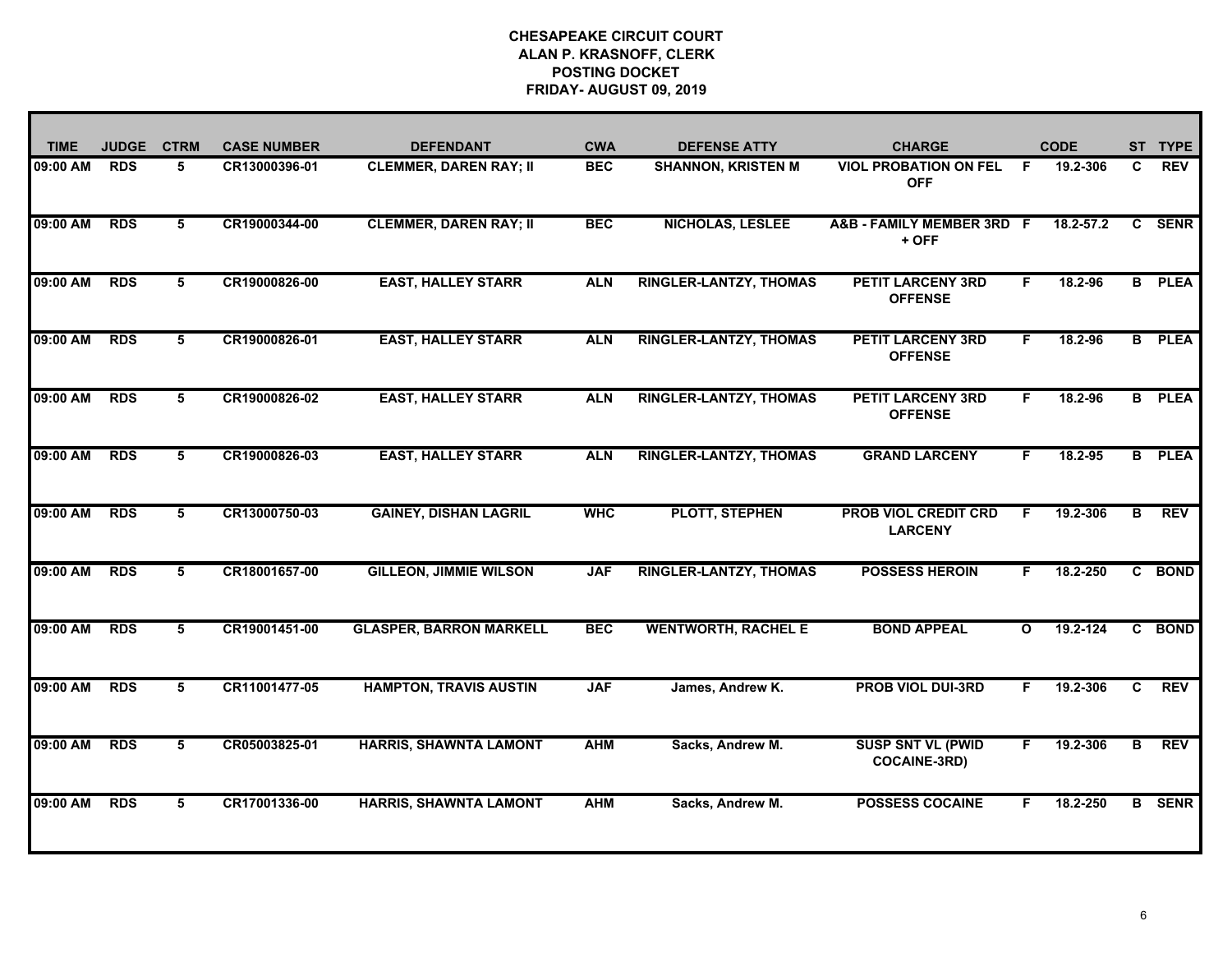| <b>TIME</b> | <b>JUDGE</b> | <b>CTRM</b> | <b>CASE NUMBER</b> | <b>DEFENDANT</b>               | <b>CWA</b> | <b>DEFENSE ATTY</b>           | <b>CHARGE</b>                                   | <b>CODE</b>              |   | <b>TYPE</b><br><b>ST</b> |
|-------------|--------------|-------------|--------------------|--------------------------------|------------|-------------------------------|-------------------------------------------------|--------------------------|---|--------------------------|
| 09:00 AM    | <b>RDS</b>   | 5           | CR13000396-01      | <b>CLEMMER, DAREN RAY; II</b>  | <b>BEC</b> | <b>SHANNON, KRISTEN M</b>     | <b>VIOL PROBATION ON FEL</b><br><b>OFF</b>      | 19.2-306<br>F.           | C | <b>REV</b>               |
| 09:00 AM    | <b>RDS</b>   | 5           | CR19000344-00      | <b>CLEMMER, DAREN RAY; II</b>  | <b>BEC</b> | <b>NICHOLAS, LESLEE</b>       | A&B - FAMILY MEMBER 3RD F<br>+ OFF              | 18.2-57.2                | C | <b>SENR</b>              |
| 09:00 AM    | <b>RDS</b>   | 5           | CR19000826-00      | <b>EAST, HALLEY STARR</b>      | <b>ALN</b> | <b>RINGLER-LANTZY, THOMAS</b> | <b>PETIT LARCENY 3RD</b><br><b>OFFENSE</b>      | F.<br>18.2-96            |   | <b>B</b> PLEA            |
| 09:00 AM    | <b>RDS</b>   | 5           | CR19000826-01      | <b>EAST, HALLEY STARR</b>      | <b>ALN</b> | <b>RINGLER-LANTZY, THOMAS</b> | <b>PETIT LARCENY 3RD</b><br><b>OFFENSE</b>      | $18.2 - 96$<br>F.        |   | <b>B</b> PLEA            |
| 09:00 AM    | <b>RDS</b>   | 5           | CR19000826-02      | <b>EAST, HALLEY STARR</b>      | <b>ALN</b> | <b>RINGLER-LANTZY, THOMAS</b> | <b>PETIT LARCENY 3RD</b><br><b>OFFENSE</b>      | 18.2-96<br>F.            |   | <b>B</b> PLEA            |
| 09:00 AM    | <b>RDS</b>   | 5           | CR19000826-03      | <b>EAST, HALLEY STARR</b>      | <b>ALN</b> | <b>RINGLER-LANTZY, THOMAS</b> | <b>GRAND LARCENY</b>                            | 18.2-95<br>F.            |   | <b>B</b> PLEA            |
| 09:00 AM    | <b>RDS</b>   | 5           | CR13000750-03      | <b>GAINEY, DISHAN LAGRIL</b>   | <b>WHC</b> | <b>PLOTT, STEPHEN</b>         | <b>PROB VIOL CREDIT CRD</b><br><b>LARCENY</b>   | 19.2-306<br>F.           | B | <b>REV</b>               |
| 09:00 AM    | <b>RDS</b>   | 5           | CR18001657-00      | <b>GILLEON, JIMMIE WILSON</b>  | <b>JAF</b> | <b>RINGLER-LANTZY, THOMAS</b> | <b>POSSESS HEROIN</b>                           | 18.2-250<br>F.           |   | C BOND                   |
| 09:00 AM    | <b>RDS</b>   | 5           | CR19001451-00      | <b>GLASPER, BARRON MARKELL</b> | <b>BEC</b> | <b>WENTWORTH, RACHEL E</b>    | <b>BOND APPEAL</b>                              | 19.2-124<br>$\mathbf{o}$ |   | C BOND                   |
| 09:00 AM    | <b>RDS</b>   | 5           | CR11001477-05      | <b>HAMPTON, TRAVIS AUSTIN</b>  | <b>JAF</b> | James, Andrew K.              | <b>PROB VIOL DUI-3RD</b>                        | 19.2-306<br>F.           | C | <b>REV</b>               |
| 09:00 AM    | <b>RDS</b>   | 5           | CR05003825-01      | <b>HARRIS, SHAWNTA LAMONT</b>  | <b>AHM</b> | Sacks, Andrew M.              | <b>SUSP SNT VL (PWID</b><br><b>COCAINE-3RD)</b> | 19.2-306<br>F.           | B | <b>REV</b>               |
| 09:00 AM    | <b>RDS</b>   | 5           | CR17001336-00      | <b>HARRIS, SHAWNTA LAMONT</b>  | <b>AHM</b> | Sacks, Andrew M.              | <b>POSSESS COCAINE</b>                          | 18.2-250<br>F.           |   | <b>B</b> SENR            |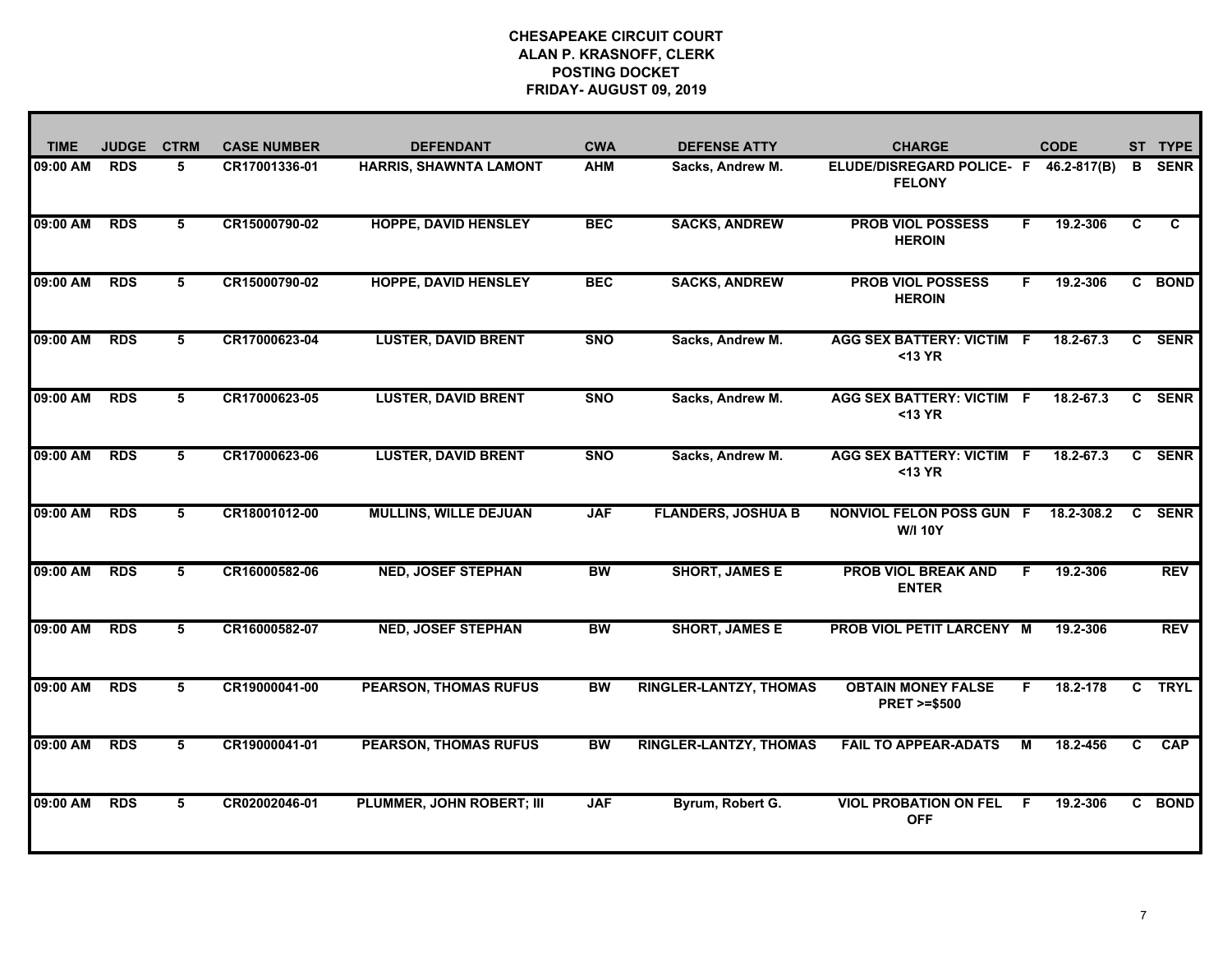| <b>TIME</b> | <b>JUDGE</b> | <b>CTRM</b> | <b>CASE NUMBER</b> | <b>DEFENDANT</b>             | <b>CWA</b> | <b>DEFENSE ATTY</b>           | <b>CHARGE</b>                                          |     | <b>CODE</b> |    | ST TYPE     |
|-------------|--------------|-------------|--------------------|------------------------------|------------|-------------------------------|--------------------------------------------------------|-----|-------------|----|-------------|
| 09:00 AM    | <b>RDS</b>   | 5           | CR17001336-01      | HARRIS, SHAWNTA LAMONT       | <b>AHM</b> | Sacks, Andrew M.              | ELUDE/DISREGARD POLICE- F 46.2-817(B)<br><b>FELONY</b> |     |             | B  | <b>SENR</b> |
| 09:00 AM    | <b>RDS</b>   | 5           | CR15000790-02      | <b>HOPPE, DAVID HENSLEY</b>  | <b>BEC</b> | <b>SACKS, ANDREW</b>          | <b>PROB VIOL POSSESS</b><br><b>HEROIN</b>              | F.  | 19.2-306    | C  | C           |
| 09:00 AM    | <b>RDS</b>   | 5           | CR15000790-02      | <b>HOPPE, DAVID HENSLEY</b>  | <b>BEC</b> | <b>SACKS, ANDREW</b>          | <b>PROB VIOL POSSESS</b><br><b>HEROIN</b>              | F.  | 19.2-306    |    | C BOND      |
| 09:00 AM    | <b>RDS</b>   | 5           | CR17000623-04      | <b>LUSTER, DAVID BRENT</b>   | <b>SNO</b> | Sacks, Andrew M.              | <b>AGG SEX BATTERY: VICTIM F</b><br><13 YR             |     | 18.2-67.3   |    | C SENR      |
| 09:00 AM    | <b>RDS</b>   | 5           | CR17000623-05      | <b>LUSTER, DAVID BRENT</b>   | <b>SNO</b> | Sacks, Andrew M.              | <b>AGG SEX BATTERY: VICTIM F</b><br>$13 YR$            |     | 18.2-67.3   |    | C SENR      |
| 09:00 AM    | <b>RDS</b>   | 5           | CR17000623-06      | <b>LUSTER, DAVID BRENT</b>   | <b>SNO</b> | Sacks, Andrew M.              | AGG SEX BATTERY: VICTIM F<br>$13 YR$                   |     | 18.2-67.3   |    | C SENR      |
| 09:00 AM    | <b>RDS</b>   | 5           | CR18001012-00      | <b>MULLINS, WILLE DEJUAN</b> | <b>JAF</b> | <b>FLANDERS, JOSHUA B</b>     | NONVIOL FELON POSS GUN F<br><b>W/I 10Y</b>             |     | 18.2-308.2  | C  | <b>SENR</b> |
| 09:00 AM    | <b>RDS</b>   | 5           | CR16000582-06      | <b>NED, JOSEF STEPHAN</b>    | BW         | <b>SHORT, JAMES E</b>         | <b>PROB VIOL BREAK AND</b><br><b>ENTER</b>             | F.  | 19.2-306    |    | <b>REV</b>  |
| 09:00 AM    | <b>RDS</b>   | 5           | CR16000582-07      | <b>NED, JOSEF STEPHAN</b>    | <b>BW</b>  | <b>SHORT, JAMES E</b>         | <b>PROB VIOL PETIT LARCENY M</b>                       |     | 19.2-306    |    | <b>REV</b>  |
| 09:00 AM    | <b>RDS</b>   | 5           | CR19000041-00      | <b>PEARSON, THOMAS RUFUS</b> | <b>BW</b>  | <b>RINGLER-LANTZY, THOMAS</b> | <b>OBTAIN MONEY FALSE</b><br><b>PRET &gt;=\$500</b>    | F.  | 18.2-178    | C. | <b>TRYL</b> |
| 09:00 AM    | <b>RDS</b>   | 5           | CR19000041-01      | <b>PEARSON, THOMAS RUFUS</b> | <b>BW</b>  | <b>RINGLER-LANTZY, THOMAS</b> | <b>FAIL TO APPEAR-ADATS</b>                            | М   | 18.2-456    | C. | <b>CAP</b>  |
| 09:00 AM    | <b>RDS</b>   | 5           | CR02002046-01      | PLUMMER, JOHN ROBERT; III    | <b>JAF</b> | Byrum, Robert G.              | <b>VIOL PROBATION ON FEL</b><br><b>OFF</b>             | - F | 19.2-306    |    | C BOND      |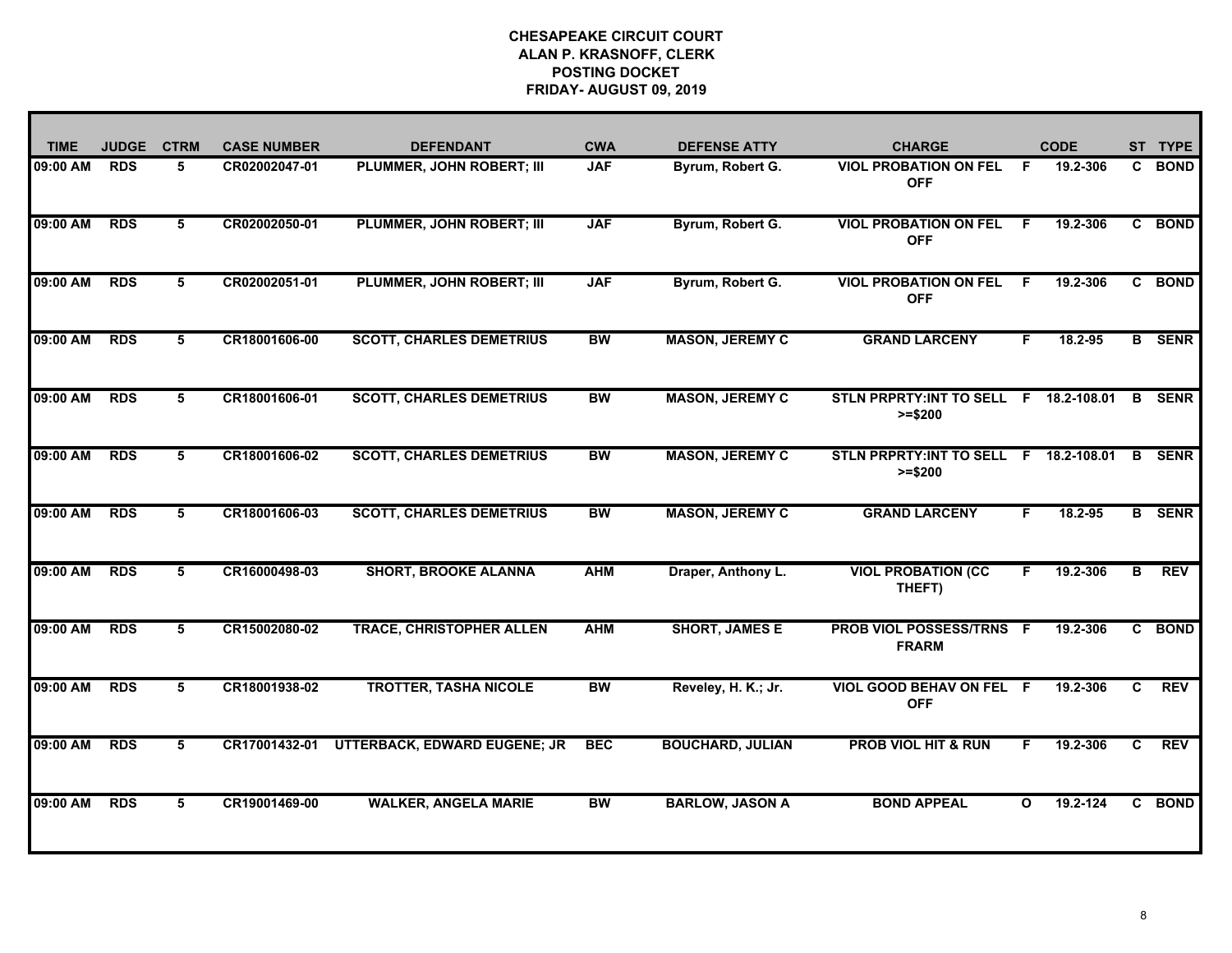| <b>TIME</b> | <b>JUDGE</b> | <b>CTRM</b> | <b>CASE NUMBER</b> | <b>DEFENDANT</b>                    | <b>CWA</b> | <b>DEFENSE ATTY</b>     | <b>CHARGE</b>                                       |              | <b>CODE</b> | ST | <b>TYPE</b>   |
|-------------|--------------|-------------|--------------------|-------------------------------------|------------|-------------------------|-----------------------------------------------------|--------------|-------------|----|---------------|
| 09:00 AM    | <b>RDS</b>   | 5           | CR02002047-01      | PLUMMER, JOHN ROBERT; III           | <b>JAF</b> | Byrum, Robert G.        | <b>VIOL PROBATION ON FEL</b><br><b>OFF</b>          | F.           | 19.2-306    | C. | <b>BOND</b>   |
| 09:00 AM    | <b>RDS</b>   | 5           | CR02002050-01      | PLUMMER, JOHN ROBERT; III           | <b>JAF</b> | Byrum, Robert G.        | <b>VIOL PROBATION ON FEL</b><br><b>OFF</b>          | F.           | 19.2-306    |    | C BOND        |
| 09:00 AM    | <b>RDS</b>   | 5           | CR02002051-01      | PLUMMER, JOHN ROBERT; III           | <b>JAF</b> | Byrum, Robert G.        | <b>VIOL PROBATION ON FEL</b><br><b>OFF</b>          | F.           | 19.2-306    |    | C BOND        |
| 09:00 AM    | <b>RDS</b>   | 5           | CR18001606-00      | <b>SCOTT, CHARLES DEMETRIUS</b>     | <b>BW</b>  | <b>MASON, JEREMY C</b>  | <b>GRAND LARCENY</b>                                | F            | $18.2 - 95$ |    | <b>B</b> SENR |
| 09:00 AM    | <b>RDS</b>   | 5           | CR18001606-01      | <b>SCOTT, CHARLES DEMETRIUS</b>     | <b>BW</b>  | <b>MASON, JEREMY C</b>  | STLN PRPRTY: INT TO SELL F 18.2-108.01<br>$>= $200$ |              |             | B  | <b>SENR</b>   |
| 09:00 AM    | <b>RDS</b>   | 5           | CR18001606-02      | <b>SCOTT, CHARLES DEMETRIUS</b>     | <b>BW</b>  | <b>MASON, JEREMY C</b>  | STLN PRPRTY: INT TO SELL F 18.2-108.01<br>$>= $200$ |              |             | B  | <b>SENR</b>   |
| 09:00 AM    | <b>RDS</b>   | 5           | CR18001606-03      | <b>SCOTT, CHARLES DEMETRIUS</b>     | <b>BW</b>  | <b>MASON, JEREMY C</b>  | <b>GRAND LARCENY</b>                                | F            | 18.2-95     |    | <b>B</b> SENR |
| 09:00 AM    | <b>RDS</b>   | 5           | CR16000498-03      | <b>SHORT, BROOKE ALANNA</b>         | <b>AHM</b> | Draper, Anthony L.      | <b>VIOL PROBATION (CC</b><br>THEFT)                 | F.           | 19.2-306    | в  | <b>REV</b>    |
| 09:00 AM    | <b>RDS</b>   | 5           | CR15002080-02      | <b>TRACE, CHRISTOPHER ALLEN</b>     | <b>AHM</b> | <b>SHORT, JAMES E</b>   | PROB VIOL POSSESS/TRNS F<br><b>FRARM</b>            |              | 19.2-306    |    | C BOND        |
| 09:00 AM    | <b>RDS</b>   | 5           | CR18001938-02      | <b>TROTTER, TASHA NICOLE</b>        | <b>BW</b>  | Reveley, H. K.; Jr.     | <b>VIOL GOOD BEHAV ON FEL F</b><br><b>OFF</b>       |              | 19.2-306    | C  | <b>REV</b>    |
| 09:00 AM    | <b>RDS</b>   | 5           | CR17001432-01      | <b>UTTERBACK, EDWARD EUGENE; JR</b> | <b>BEC</b> | <b>BOUCHARD, JULIAN</b> | <b>PROB VIOL HIT &amp; RUN</b>                      | F.           | 19.2-306    | C. | <b>REV</b>    |
| 09:00 AM    | <b>RDS</b>   | 5           | CR19001469-00      | <b>WALKER, ANGELA MARIE</b>         | <b>BW</b>  | <b>BARLOW, JASON A</b>  | <b>BOND APPEAL</b>                                  | $\mathbf{o}$ | 19.2-124    |    | C BOND        |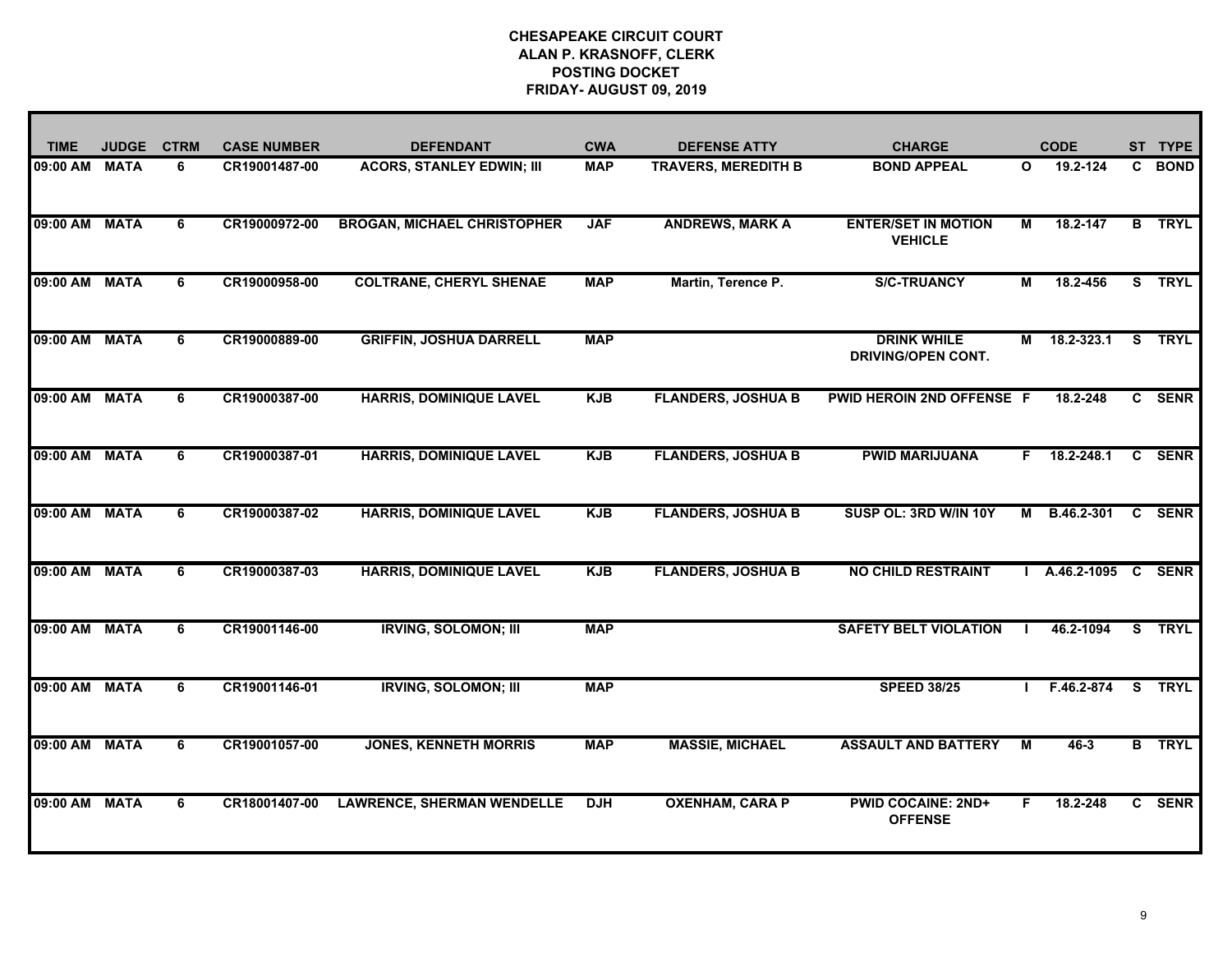| <b>TIME</b>   | <b>JUDGE</b> | <b>CTRM</b> | <b>CASE NUMBER</b> | <b>DEFENDANT</b>                   | <b>CWA</b> | <b>DEFENSE ATTY</b>        | <b>CHARGE</b>                                   |                         | <b>CODE</b>        | ST. | <b>TYPE</b>   |
|---------------|--------------|-------------|--------------------|------------------------------------|------------|----------------------------|-------------------------------------------------|-------------------------|--------------------|-----|---------------|
| 09:00 AM      | <b>MATA</b>  | 6           | CR19001487-00      | <b>ACORS, STANLEY EDWIN; III</b>   | <b>MAP</b> | <b>TRAVERS, MEREDITH B</b> | <b>BOND APPEAL</b>                              | $\mathbf{o}$            | 19.2-124           | C.  | <b>BOND</b>   |
| 09:00 AM      | <b>MATA</b>  | 6           | CR19000972-00      | <b>BROGAN, MICHAEL CHRISTOPHER</b> | <b>JAF</b> | <b>ANDREWS, MARK A</b>     | <b>ENTER/SET IN MOTION</b><br><b>VEHICLE</b>    | $\overline{M}$          | 18.2-147           | B   | <b>TRYL</b>   |
| 09:00 AM MATA |              | 6           | CR19000958-00      | <b>COLTRANE, CHERYL SHENAE</b>     | <b>MAP</b> | Martin, Terence P.         | <b>S/C-TRUANCY</b>                              | М                       | 18.2-456           |     | S TRYL        |
| 09:00 AM      | <b>MATA</b>  | 6           | CR19000889-00      | <b>GRIFFIN, JOSHUA DARRELL</b>     | <b>MAP</b> |                            | <b>DRINK WHILE</b><br><b>DRIVING/OPEN CONT.</b> | М                       | 18.2-323.1         | S.  | <b>TRYL</b>   |
| 09:00 AM      | <b>MATA</b>  | 6           | CR19000387-00      | <b>HARRIS, DOMINIQUE LAVEL</b>     | <b>KJB</b> | <b>FLANDERS, JOSHUA B</b>  | PWID HEROIN 2ND OFFENSE F                       |                         | 18.2-248           |     | C SENR        |
| 09:00 AM MATA |              | 6           | CR19000387-01      | <b>HARRIS, DOMINIQUE LAVEL</b>     | <b>KJB</b> | <b>FLANDERS, JOSHUA B</b>  | <b>PWID MARIJUANA</b>                           |                         | $F$ 18.2-248.1     |     | C SENR        |
| 09:00 AM MATA |              | 6           | CR19000387-02      | <b>HARRIS, DOMINIQUE LAVEL</b>     | <b>KJB</b> | <b>FLANDERS, JOSHUA B</b>  | SUSP OL: 3RD W/IN 10Y                           | М                       | B.46.2-301         |     | <b>C</b> SENR |
| 09:00 AM      | <b>MATA</b>  | 6           | CR19000387-03      | <b>HARRIS, DOMINIQUE LAVEL</b>     | <b>KJB</b> | <b>FLANDERS, JOSHUA B</b>  | <b>NO CHILD RESTRAINT</b>                       |                         | A.46.2-1095 C SENR |     |               |
| 09:00 AM MATA |              | 6           | CR19001146-00      | <b>IRVING, SOLOMON; III</b>        | <b>MAP</b> |                            | <b>SAFETY BELT VIOLATION</b>                    |                         | 46.2-1094          | S.  | <b>TRYL</b>   |
| 09:00 AM MATA |              | 6           | CR19001146-01      | <b>IRVING, SOLOMON; III</b>        | <b>MAP</b> |                            | <b>SPEED 38/25</b>                              |                         | F.46.2-874         |     | S TRYL        |
| 09:00 AM MATA |              | 6           | CR19001057-00      | <b>JONES, KENNETH MORRIS</b>       | <b>MAP</b> | <b>MASSIE, MICHAEL</b>     | <b>ASSAULT AND BATTERY</b>                      | $\overline{\mathsf{M}}$ | $46 - 3$           |     | <b>B</b> TRYL |
| 09:00 AM MATA |              | 6           | CR18001407-00      | <b>LAWRENCE, SHERMAN WENDELLE</b>  | <b>DJH</b> | <b>OXENHAM, CARA P</b>     | <b>PWID COCAINE: 2ND+</b><br><b>OFFENSE</b>     | F.                      | 18.2-248           |     | C SENR        |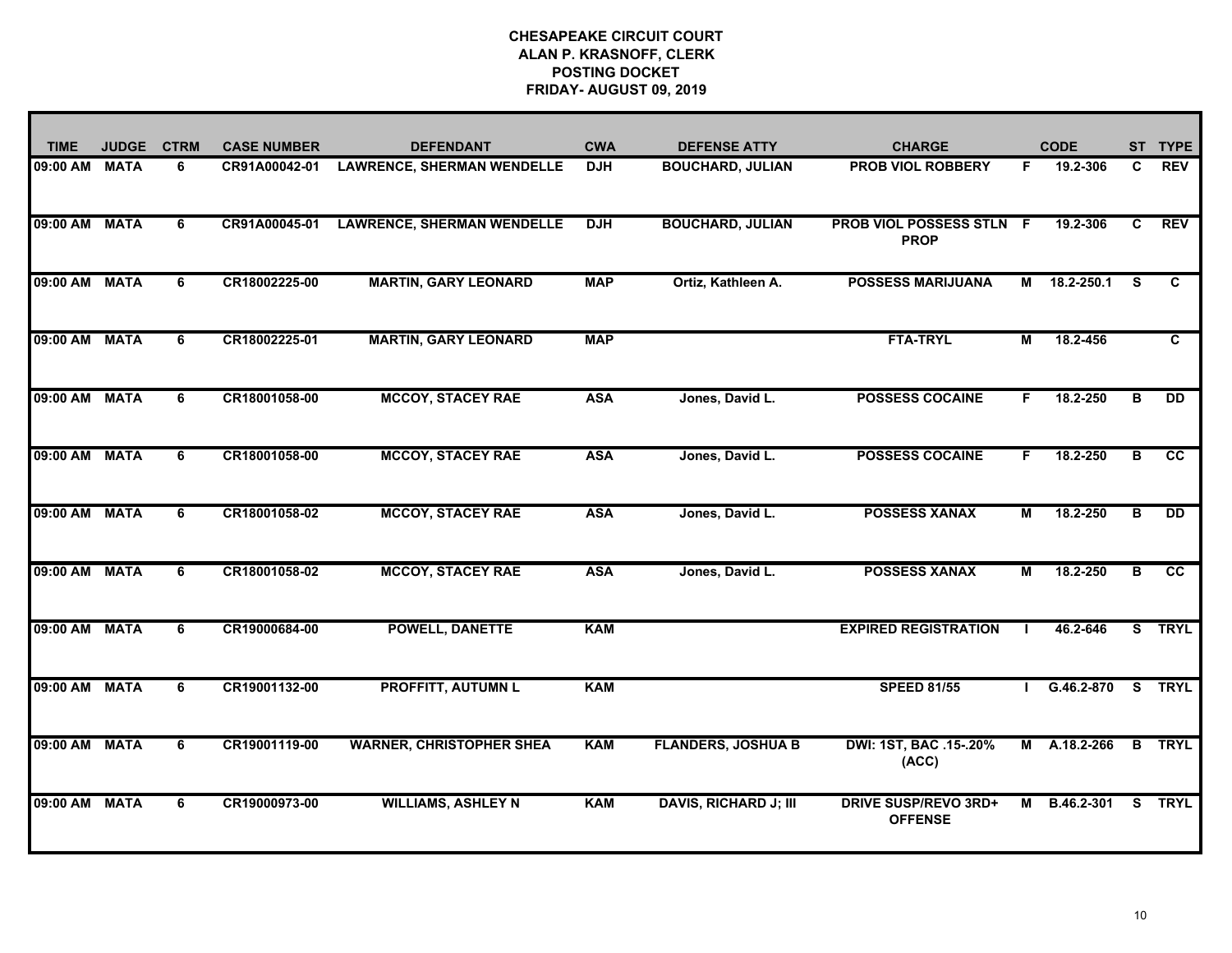| <b>TIME</b>   | <b>JUDGE</b> | <b>CTRM</b> | <b>CASE NUMBER</b> | <b>DEFENDANT</b>                  | <b>CWA</b> | <b>DEFENSE ATTY</b>          | <b>CHARGE</b>                                  |    | <b>CODE</b> | ST. | <b>TYPE</b>     |
|---------------|--------------|-------------|--------------------|-----------------------------------|------------|------------------------------|------------------------------------------------|----|-------------|-----|-----------------|
| 09:00 AM      | <b>MATA</b>  | 6           | CR91A00042-01      | <b>LAWRENCE, SHERMAN WENDELLE</b> | <b>DJH</b> | <b>BOUCHARD, JULIAN</b>      | <b>PROB VIOL ROBBERY</b>                       | F. | 19.2-306    | C   | <b>REV</b>      |
| 09:00 AM      | <b>MATA</b>  | 6           | CR91A00045-01      | <b>LAWRENCE, SHERMAN WENDELLE</b> | <b>DJH</b> | <b>BOUCHARD, JULIAN</b>      | <b>PROB VIOL POSSESS STLN F</b><br><b>PROP</b> |    | 19.2-306    | C   | <b>REV</b>      |
| 09:00 AM      | <b>MATA</b>  | 6           | CR18002225-00      | <b>MARTIN, GARY LEONARD</b>       | <b>MAP</b> | Ortiz, Kathleen A.           | <b>POSSESS MARIJUANA</b>                       | M  | 18.2-250.1  | S.  | C.              |
| 09:00 AM      | <b>MATA</b>  | 6           | CR18002225-01      | <b>MARTIN, GARY LEONARD</b>       | <b>MAP</b> |                              | <b>FTA-TRYL</b>                                | М  | 18.2-456    |     | C.              |
| 09:00 AM      | <b>MATA</b>  | 6           | CR18001058-00      | <b>MCCOY, STACEY RAE</b>          | <b>ASA</b> | Jones, David L.              | <b>POSSESS COCAINE</b>                         | F. | 18.2-250    | в   | <b>DD</b>       |
| 09:00 AM MATA |              | 6           | CR18001058-00      | <b>MCCOY, STACEY RAE</b>          | <b>ASA</b> | Jones, David L.              | <b>POSSESS COCAINE</b>                         | F. | 18.2-250    | в   | <b>CC</b>       |
| 09:00 AM MATA |              | 6           | CR18001058-02      | <b>MCCOY, STACEY RAE</b>          | <b>ASA</b> | Jones, David L.              | <b>POSSESS XANAX</b>                           | М  | 18.2-250    | в   | <b>DD</b>       |
| 09:00 AM      | <b>MATA</b>  | 6           | CR18001058-02      | <b>MCCOY, STACEY RAE</b>          | <b>ASA</b> | Jones, David L.              | <b>POSSESS XANAX</b>                           | M  | 18.2-250    | в   | $\overline{cc}$ |
| 09:00 AM      | <b>MATA</b>  | 6           | CR19000684-00      | <b>POWELL, DANETTE</b>            | <b>KAM</b> |                              | <b>EXPIRED REGISTRATION</b>                    |    | 46.2-646    |     | S TRYL          |
| 09:00 AM      | <b>MATA</b>  | 6           | CR19001132-00      | <b>PROFFITT, AUTUMN L</b>         | <b>KAM</b> |                              | <b>SPEED 81/55</b>                             |    | G.46.2-870  |     | S TRYL          |
| 09:00 AM      | <b>MATA</b>  | 6           | CR19001119-00      | <b>WARNER, CHRISTOPHER SHEA</b>   | <b>KAM</b> | <b>FLANDERS, JOSHUA B</b>    | DWI: 1ST, BAC .15-.20%<br>(ACC)                | М  | A.18.2-266  |     | <b>B</b> TRYL   |
| 09:00 AM      | <b>MATA</b>  | 6           | CR19000973-00      | <b>WILLIAMS, ASHLEY N</b>         | <b>KAM</b> | <b>DAVIS, RICHARD J; III</b> | <b>DRIVE SUSP/REVO 3RD+</b><br><b>OFFENSE</b>  | М  | B.46.2-301  | S.  | <b>TRYL</b>     |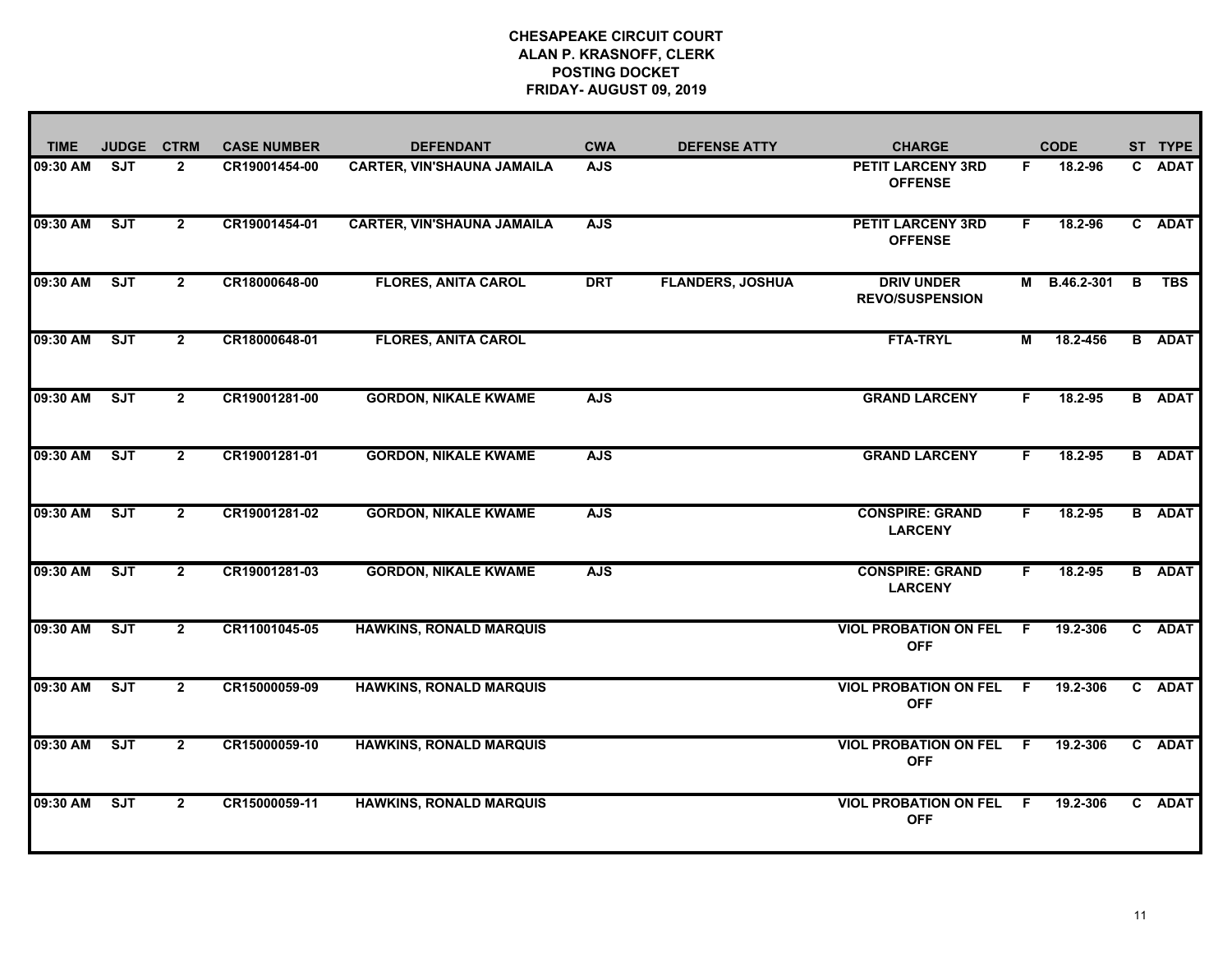| <b>TIME</b> | <b>JUDGE</b> | <b>CTRM</b>    | <b>CASE NUMBER</b> | <b>DEFENDANT</b>                  | <b>CWA</b> | <b>DEFENSE ATTY</b>     | <b>CHARGE</b>                               |    | <b>CODE</b> |                | ST TYPE       |
|-------------|--------------|----------------|--------------------|-----------------------------------|------------|-------------------------|---------------------------------------------|----|-------------|----------------|---------------|
| 09:30 AM    | <b>SJT</b>   | $\overline{2}$ | CR19001454-00      | <b>CARTER, VIN'SHAUNA JAMAILA</b> | <b>AJS</b> |                         | <b>PETIT LARCENY 3RD</b><br><b>OFFENSE</b>  | F. | 18.2-96     |                | C ADAT        |
| 09:30 AM    | ST           | $\overline{2}$ | CR19001454-01      | <b>CARTER, VIN'SHAUNA JAMAILA</b> | <b>AJS</b> |                         | <b>PETIT LARCENY 3RD</b><br><b>OFFENSE</b>  | F. | 18.2-96     |                | C ADAT        |
| 09:30 AM    | ST           | $2^{\circ}$    | CR18000648-00      | <b>FLORES, ANITA CAROL</b>        | <b>DRT</b> | <b>FLANDERS, JOSHUA</b> | <b>DRIV UNDER</b><br><b>REVO/SUSPENSION</b> | М  | B.46.2-301  | $\overline{B}$ | <b>TBS</b>    |
| 09:30 AM    | ST           | $\overline{2}$ | CR18000648-01      | <b>FLORES, ANITA CAROL</b>        |            |                         | <b>FTA-TRYL</b>                             | М  | 18.2-456    |                | <b>B</b> ADAT |
| 09:30 AM    | ST           | $\overline{2}$ | CR19001281-00      | <b>GORDON, NIKALE KWAME</b>       | <b>AJS</b> |                         | <b>GRAND LARCENY</b>                        | F. | 18.2-95     |                | <b>B</b> ADAT |
| 09:30 AM    | SJT          | $\mathbf{2}$   | CR19001281-01      | <b>GORDON, NIKALE KWAME</b>       | <b>AJS</b> |                         | <b>GRAND LARCENY</b>                        | F. | 18.2-95     |                | <b>B</b> ADAT |
| 09:30 AM    | ST           | $\overline{2}$ | CR19001281-02      | <b>GORDON, NIKALE KWAME</b>       | <b>AJS</b> |                         | <b>CONSPIRE: GRAND</b><br><b>LARCENY</b>    | F. | 18.2-95     |                | <b>B</b> ADAT |
| 09:30 AM    | SJT          | $\mathbf{2}$   | CR19001281-03      | <b>GORDON, NIKALE KWAME</b>       | <b>AJS</b> |                         | <b>CONSPIRE: GRAND</b><br><b>LARCENY</b>    | F. | 18.2-95     |                | <b>B</b> ADAT |
| 09:30 AM    | SJT          | $\overline{2}$ | CR11001045-05      | <b>HAWKINS, RONALD MARQUIS</b>    |            |                         | <b>VIOL PROBATION ON FEL</b><br><b>OFF</b>  | F. | 19.2-306    |                | C ADAT        |
| 09:30 AM    | SJT          | $\mathbf{2}$   | CR15000059-09      | <b>HAWKINS, RONALD MARQUIS</b>    |            |                         | <b>VIOL PROBATION ON FEL</b><br><b>OFF</b>  | -F | 19.2-306    |                | C ADAT        |
| 09:30 AM    | ST           | $\overline{2}$ | CR15000059-10      | <b>HAWKINS, RONALD MARQUIS</b>    |            |                         | <b>VIOL PROBATION ON FEL</b><br><b>OFF</b>  | -F | 19.2-306    |                | C ADAT        |
| 09:30 AM    | ST           | $\mathbf{2}$   | CR15000059-11      | <b>HAWKINS, RONALD MARQUIS</b>    |            |                         | <b>VIOL PROBATION ON FEL</b><br><b>OFF</b>  | -F | 19.2-306    |                | C ADAT        |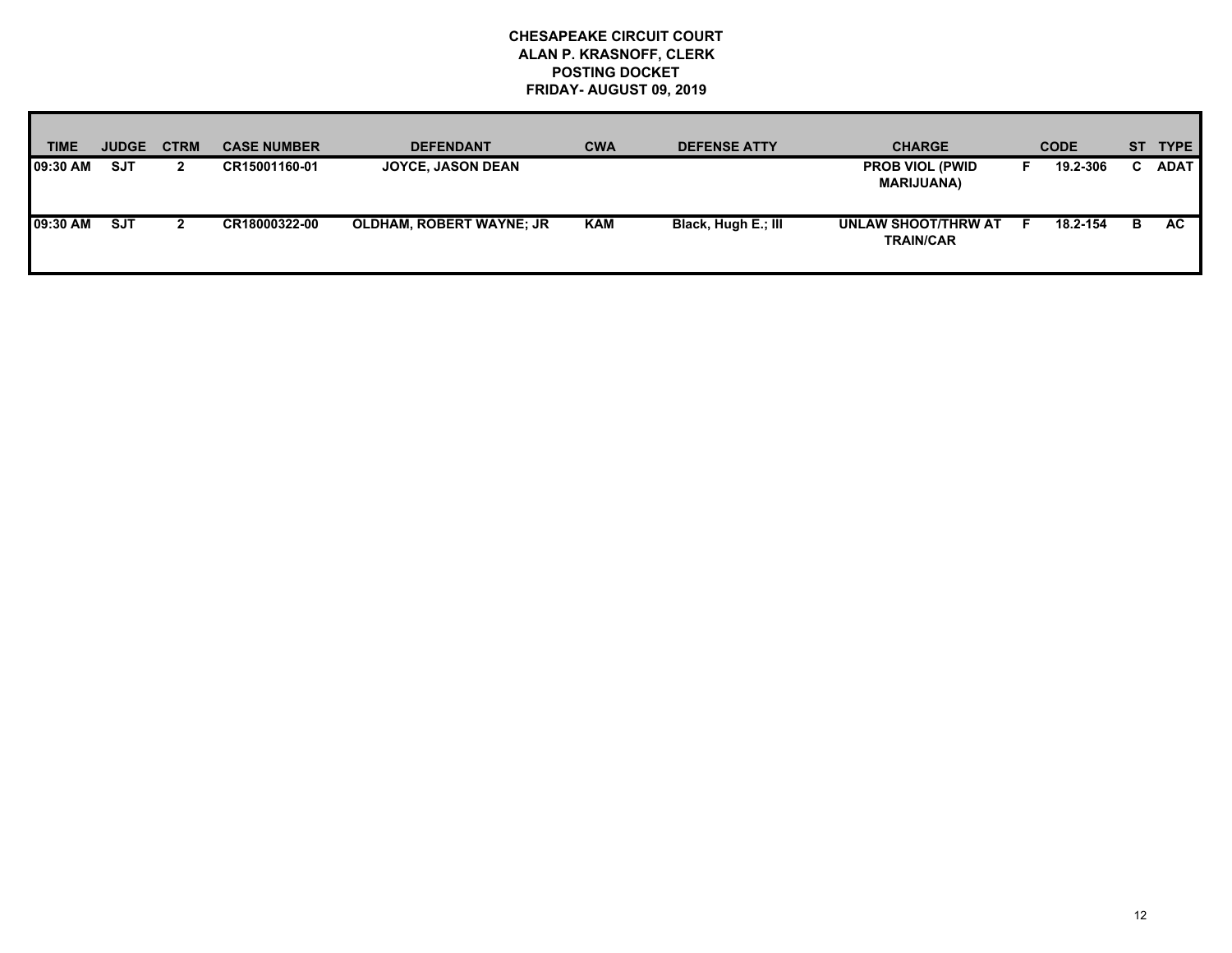| <b>TIME</b> | <b>JUDGE</b> | <b>CTRM</b> | <b>CASE NUMBER</b> | <b>DEFENDANT</b>                | <b>CWA</b> | <b>DEFENSE ATTY</b> | <b>CHARGE</b>                               |    | <b>CODE</b> |    | ST TYPE     |
|-------------|--------------|-------------|--------------------|---------------------------------|------------|---------------------|---------------------------------------------|----|-------------|----|-------------|
| 09:30 AM    | <b>SJT</b>   |             | CR15001160-01      | <b>JOYCE, JASON DEAN</b>        |            |                     | <b>PROB VIOL (PWID</b><br><b>MARIJUANA)</b> |    | 19.2-306    | C. | <b>ADAT</b> |
| 09:30 AM    | <b>SJT</b>   |             | CR18000322-00      | <b>OLDHAM, ROBERT WAYNE; JR</b> | KAM        | Black, Hugh E.; III | UNLAW SHOOT/THRW AT<br><b>TRAIN/CAR</b>     | Е. | 18.2-154    | в  | AC.         |